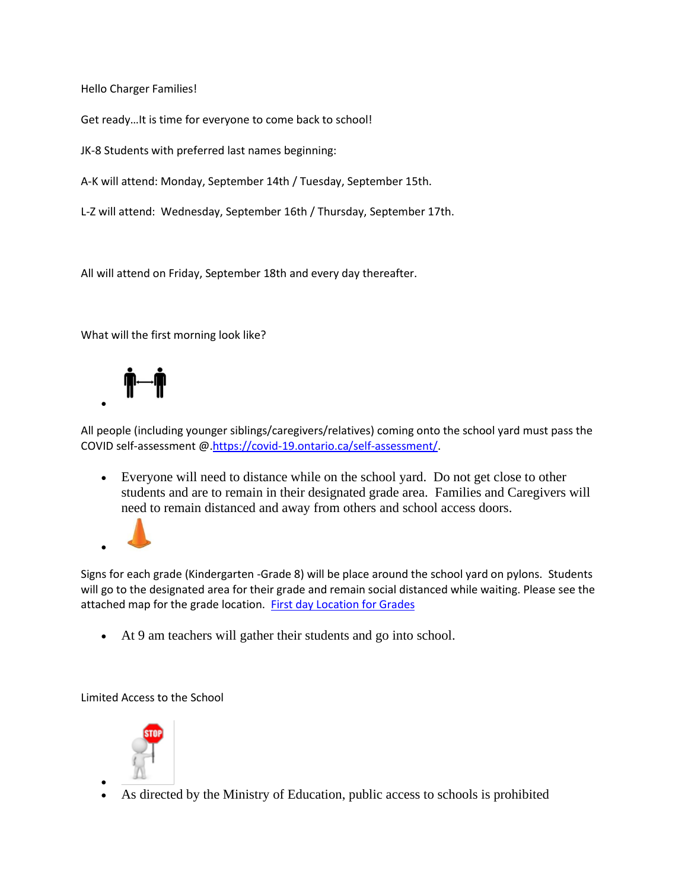Hello Charger Families!

Get ready…It is time for everyone to come back to school!

JK-8 Students with preferred last names beginning:

A-K will attend: Monday, September 14th / Tuesday, September 15th.

L-Z will attend: Wednesday, September 16th / Thursday, September 17th.

All will attend on Friday, September 18th and every day thereafter.

What will the first morning look like?



All people (including younger siblings/caregivers/relatives) coming onto the school yard must pass the COVID self-assessment @[.https://covid-19.ontario.ca/self-assessment/.](http://track.spe.schoolmessenger.com/f/a/KgEmta69PzEvI48dprvD5Q~~/AAAAAQA~/RgRhO6MNP0QsaHR0cHM6Ly9jb3ZpZC0xOS5vbnRhcmlvLmNhL3NlbGYtYXNzZXNzbWVudC9XB3NjaG9vbG1CCgBGjW9aX5YFKsZSHkFsbFN0YWZmLUphY2tDaGFtYmVyc0B0dmRzYi5jYVgEAAAAAg~~)

• Everyone will need to distance while on the school yard. Do not get close to other students and are to remain in their designated grade area. Families and Caregivers will need to remain distanced and away from others and school access doors.



Signs for each grade (Kindergarten -Grade 8) will be place around the school yard on pylons. Students will go to the designated area for their grade and remain social distanced while waiting. Please see the attached map for the grade location. [First day Location for Grades](http://track.spe.schoolmessenger.com/f/a/uaV6_JDakjXEShBhEyho4Q~~/AAAAAQA~/RgRhO6MNP0R0aHR0cHM6Ly9tc2cuc2Nob29sbWVzc2VuZ2VyLmNhL20vP3M9ZFpaQ19GUmlvSGMmbWFsPWZkMjA0ZTUwNmNhODI5MjUzNmFjMTBhMjhhNjc2ZTIyYzk0NWIzYjE3ODQ3ZWE3MzIyZTkwYzM3YTQ4OTY0YWVXB3NjaG9vbG1CCgBGjW9aX5YFKsZSHkFsbFN0YWZmLUphY2tDaGFtYmVyc0B0dmRzYi5jYVgEAAAAAg~~)

• At 9 am teachers will gather their students and go into school.

Limited Access to the School



• As directed by the Ministry of Education, public access to schools is prohibited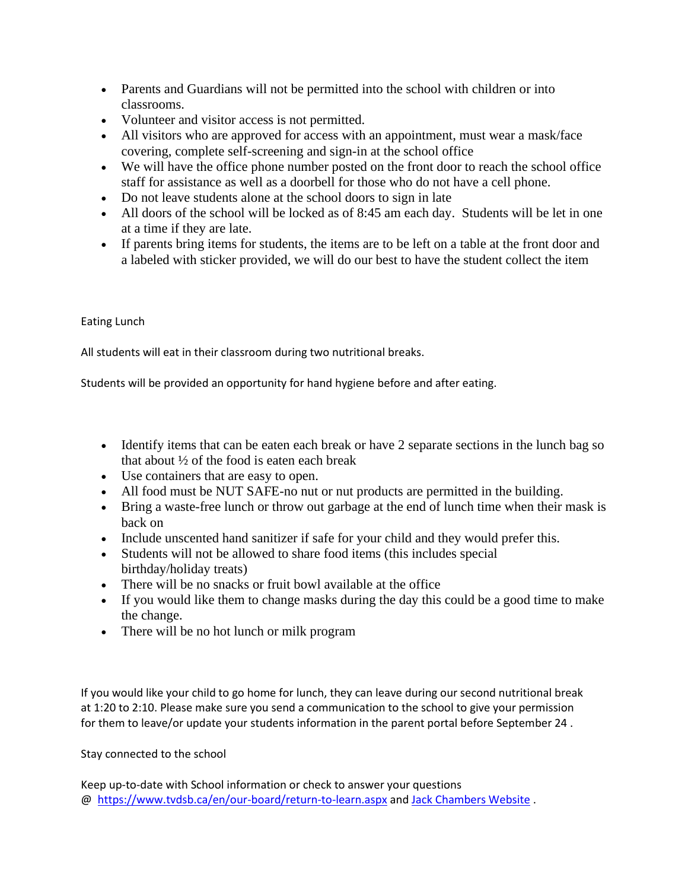- Parents and Guardians will not be permitted into the school with children or into classrooms.
- Volunteer and visitor access is not permitted.
- All visitors who are approved for access with an appointment, must wear a mask/face covering, complete self-screening and sign-in at the school office
- We will have the office phone number posted on the front door to reach the school office staff for assistance as well as a doorbell for those who do not have a cell phone.
- Do not leave students alone at the school doors to sign in late
- All doors of the school will be locked as of 8:45 am each day. Students will be let in one at a time if they are late.
- If parents bring items for students, the items are to be left on a table at the front door and a labeled with sticker provided, we will do our best to have the student collect the item

## Eating Lunch

All students will eat in their classroom during two nutritional breaks.

Students will be provided an opportunity for hand hygiene before and after eating.

- Identify items that can be eaten each break or have 2 separate sections in the lunch bag so that about  $\frac{1}{2}$  of the food is eaten each break
- Use containers that are easy to open.
- All food must be NUT SAFE-no nut or nut products are permitted in the building.
- Bring a waste-free lunch or throw out garbage at the end of lunch time when their mask is back on
- Include unscented hand sanitizer if safe for your child and they would prefer this.
- Students will not be allowed to share food items (this includes special birthday/holiday treats)
- There will be no snacks or fruit bowl available at the office
- If you would like them to change masks during the day this could be a good time to make the change.
- There will be no hot lunch or milk program

If you would like your child to go home for lunch, they can leave during our second nutritional break at 1:20 to 2:10. Please make sure you send a communication to the school to give your permission for them to leave/or update your students information in the parent portal before September 24 .

## Stay connected to the school

Keep up-to-date with School information or check to answer your questions @ [https://www.tvdsb.ca/en/our-board/return-to-learn.aspx](http://track.spe.schoolmessenger.com/f/a/-lvw9ns1qgCn2yc9cxcgmw~~/AAAAAQA~/RgRhO6MNP0Q2aHR0cHM6Ly93d3cudHZkc2IuY2EvZW4vb3VyLWJvYXJkL3JldHVybi10by1sZWFybi5hc3B4VwdzY2hvb2xtQgoARo1vWl-WBSrGUh5BbGxTdGFmZi1KYWNrQ2hhbWJlcnNAdHZkc2IuY2FYBAAAAAI~) and [Jack Chambers Website](http://track.spe.schoolmessenger.com/f/a/l2WXbvXkDvAsZcb1H6c26A~~/AAAAAQA~/RgRhO6MNP0QraHR0cHM6Ly9qYWNrY2hhbWJlcnMudHZkc2IuY2EvZW4vaW5kZXguYXNweFcHc2Nob29sbUIKAEaNb1pflgUqxlIeQWxsU3RhZmYtSmFja0NoYW1iZXJzQHR2ZHNiLmNhWAQAAAAC) .